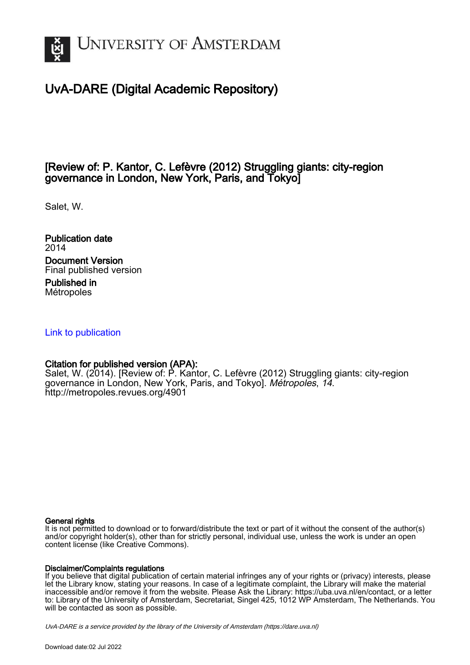

## UvA-DARE (Digital Academic Repository)

### [Review of: P. Kantor, C. Lefèvre (2012) Struggling giants: city-region governance in London, New York, Paris, and Tokyo]

Salet, W.

Publication date 2014 Document Version Final published version

Published in Métropoles

### [Link to publication](https://dare.uva.nl/personal/pure/en/publications/review-of-p-kantor-c-lefevre-2012-struggling-giants-cityregion-governance-in-london-new-york-paris-and-tokyo(5545fdde-a2de-4982-a89a-ca3b18238fc2).html)

### Citation for published version (APA):

Salet, W. (2014). [Review of: P. Kantor, C. Lefèvre (2012) Struggling giants: city-region governance in London, New York, Paris, and Tokyo]. Métropoles, 14. <http://metropoles.revues.org/4901>

### General rights

It is not permitted to download or to forward/distribute the text or part of it without the consent of the author(s) and/or copyright holder(s), other than for strictly personal, individual use, unless the work is under an open content license (like Creative Commons).

### Disclaimer/Complaints regulations

If you believe that digital publication of certain material infringes any of your rights or (privacy) interests, please let the Library know, stating your reasons. In case of a legitimate complaint, the Library will make the material inaccessible and/or remove it from the website. Please Ask the Library: https://uba.uva.nl/en/contact, or a letter to: Library of the University of Amsterdam, Secretariat, Singel 425, 1012 WP Amsterdam, The Netherlands. You will be contacted as soon as possible.

UvA-DARE is a service provided by the library of the University of Amsterdam (http*s*://dare.uva.nl)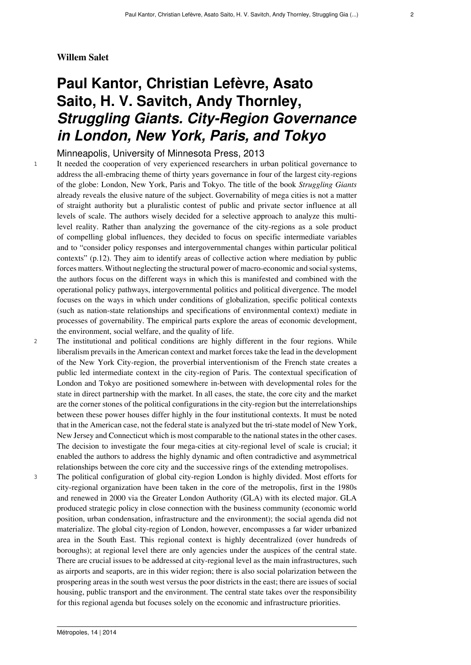### **Willem Salet**

# **Paul Kantor, Christian Lefèvre, Asato Saito, H. V. Savitch, Andy Thornley,** *Struggling Giants. City-Region Governance in London, New York, Paris, and Tokyo*

Minneapolis, University of Minnesota Press, 2013

<sup>1</sup> It needed the cooperation of very experienced researchers in urban political governance to address the all-embracing theme of thirty years governance in four of the largest city-regions of the globe: London, New York, Paris and Tokyo. The title of the book *Struggling Giants* already reveals the elusive nature of the subject. Governability of mega cities is not a matter of straight authority but a pluralistic contest of public and private sector influence at all levels of scale. The authors wisely decided for a selective approach to analyze this multilevel reality. Rather than analyzing the governance of the city-regions as a sole product of compelling global influences, they decided to focus on specific intermediate variables and to "consider policy responses and intergovernmental changes within particular political contexts" (p.12). They aim to identify areas of collective action where mediation by public forces matters. Without neglecting the structural power of macro-economic and social systems, the authors focus on the different ways in which this is manifested and combined with the operational policy pathways, intergovernmental politics and political divergence. The model focuses on the ways in which under conditions of globalization, specific political contexts (such as nation-state relationships and specifications of environmental context) mediate in processes of governability. The empirical parts explore the areas of economic development, the environment, social welfare, and the quality of life.

<sup>2</sup> The institutional and political conditions are highly different in the four regions. While liberalism prevails in the American context and market forces take the lead in the development of the New York City-region, the proverbial interventionism of the French state creates a public led intermediate context in the city-region of Paris. The contextual specification of London and Tokyo are positioned somewhere in-between with developmental roles for the state in direct partnership with the market. In all cases, the state, the core city and the market are the corner stones of the political configurations in the city-region but the interrelationships between these power houses differ highly in the four institutional contexts. It must be noted that in the American case, not the federal state is analyzed but the tri-state model of New York, New Jersey and Connecticut which is most comparable to the national states in the other cases. The decision to investigate the four mega-cities at city-regional level of scale is crucial; it enabled the authors to address the highly dynamic and often contradictive and asymmetrical relationships between the core city and the successive rings of the extending metropolises.

<sup>3</sup> The political configuration of global city-region London is highly divided. Most efforts for city-regional organization have been taken in the core of the metropolis, first in the 1980s and renewed in 2000 via the Greater London Authority (GLA) with its elected major. GLA produced strategic policy in close connection with the business community (economic world position, urban condensation, infrastructure and the environment); the social agenda did not materialize. The global city-region of London, however, encompasses a far wider urbanized area in the South East. This regional context is highly decentralized (over hundreds of boroughs); at regional level there are only agencies under the auspices of the central state. There are crucial issues to be addressed at city-regional level as the main infrastructures, such as airports and seaports, are in this wider region; there is also social polarization between the prospering areas in the south west versus the poor districts in the east; there are issues of social housing, public transport and the environment. The central state takes over the responsibility for this regional agenda but focuses solely on the economic and infrastructure priorities.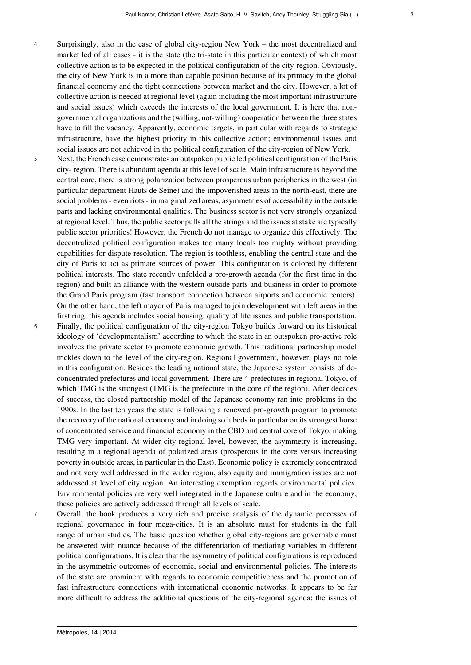- 
- <sup>4</sup> Surprisingly, also in the case of global city-region New York the most decentralized and market led of all cases - it is the state (the tri-state in this particular context) of which most collective action is to be expected in the political configuration of the city-region. Obviously, the city of New York is in a more than capable position because of its primacy in the global financial economy and the tight connections between market and the city. However, a lot of collective action is needed at regional level (again including the most important infrastructure and social issues) which exceeds the interests of the local government. It is here that nongovernmental organizations and the (willing, not-willing) cooperation between the three states have to fill the vacancy. Apparently, economic targets, in particular with regards to strategic infrastructure, have the highest priority in this collective action; environmental issues and social issues are not achieved in the political configuration of the city-region of New York.
- <sup>5</sup> Next, the French case demonstrates an outspoken public led political configuration of the Paris city- region. There is abundant agenda at this level of scale. Main infrastructure is beyond the central core, there is strong polarization between prosperous urban peripheries in the west (in particular department Hauts de Seine) and the impoverished areas in the north-east, there are social problems - even riots - in marginalized areas, asymmetries of accessibility in the outside parts and lacking environmental qualities. The business sector is not very strongly organized at regional level. Thus, the public sector pulls all the strings and the issues at stake are typically public sector priorities! However, the French do not manage to organize this effectively. The decentralized political configuration makes too many locals too mighty without providing capabilities for dispute resolution. The region is toothless, enabling the central state and the city of Paris to act as primate sources of power. This configuration is colored by different political interests. The state recently unfolded a pro-growth agenda (for the first time in the region) and built an alliance with the western outside parts and business in order to promote the Grand Paris program (fast transport connection between airports and economic centers). On the other hand, the left mayor of Paris managed to join development with left areas in the first ring; this agenda includes social housing, quality of life issues and public transportation. <sup>6</sup> Finally, the political configuration of the city-region Tokyo builds forward on its historical ideology of 'developmentalism' according to which the state in an outspoken pro-active role involves the private sector to promote economic growth. This traditional partnership model trickles down to the level of the city-region. Regional government, however, plays no role in this configuration. Besides the leading national state, the Japanese system consists of deconcentrated prefectures and local government. There are 4 prefectures in regional Tokyo, of which TMG is the strongest (TMG is the prefecture in the core of the region). After decades of success, the closed partnership model of the Japanese economy ran into problems in the 1990s. In the last ten years the state is following a renewed pro-growth program to promote the recovery of the national economy and in doing so it beds in particular on its strongest horse of concentrated service and financial economy in the CBD and central core of Tokyo, making TMG very important. At wider city-regional level, however, the asymmetry is increasing, resulting in a regional agenda of polarized areas (prosperous in the core versus increasing poverty in outside areas, in particular in the East). Economic policy is extremely concentrated and not very well addressed in the wider region, also equity and immigration issues are not addressed at level of city region. An interesting exemption regards environmental policies. Environmental policies are very well integrated in the Japanese culture and in the economy,
- <sup>7</sup> Overall, the book produces a very rich and precise analysis of the dynamic processes of regional governance in four mega-cities. It is an absolute must for students in the full range of urban studies. The basic question whether global city-regions are governable must be answered with nuance because of the differentiation of mediating variables in different political configurations. It is clear that the asymmetry of political configurations is reproduced in the asymmetric outcomes of economic, social and environmental policies. The interests of the state are prominent with regards to economic competitiveness and the promotion of fast infrastructure connections with international economic networks. It appears to be far more difficult to address the additional questions of the city-regional agenda: the issues of

these policies are actively addressed through all levels of scale.